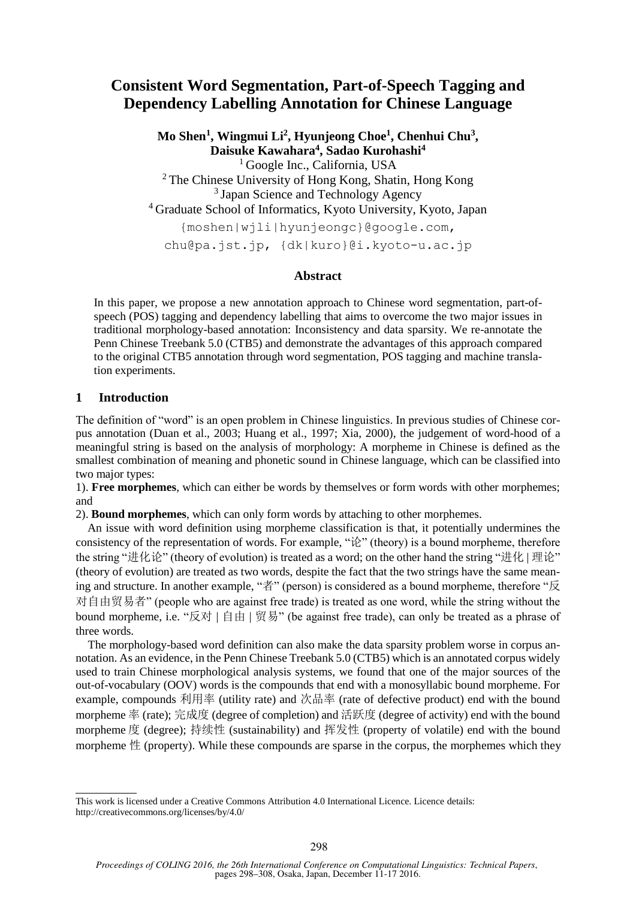# **Consistent Word Segmentation, Part-of-Speech Tagging and Dependency Labelling Annotation for Chinese Language**

**Mo Shen<sup>1</sup> , Wingmui Li<sup>2</sup> , Hyunjeong Choe<sup>1</sup> , Chenhui Chu<sup>3</sup> , Daisuke Kawahara<sup>4</sup> , Sadao Kurohashi<sup>4</sup>** <sup>1</sup> Google Inc., California, USA <sup>2</sup>The Chinese University of Hong Kong, Shatin, Hong Kong <sup>3</sup> Japan Science and Technology Agency

<sup>4</sup> Graduate School of Informatics, Kyoto University, Kyoto, Japan

{moshen|wjli|hyunjeongc}@google.com,

chu@pa.jst.jp, {dk|kuro}@i.kyoto-u.ac.jp

### **Abstract**

In this paper, we propose a new annotation approach to Chinese word segmentation, part-ofspeech (POS) tagging and dependency labelling that aims to overcome the two major issues in traditional morphology-based annotation: Inconsistency and data sparsity. We re-annotate the Penn Chinese Treebank 5.0 (CTB5) and demonstrate the advantages of this approach compared to the original CTB5 annotation through word segmentation, POS tagging and machine translation experiments.

# **1 Introduction**

The definition of "word" is an open problem in Chinese linguistics. In previous studies of Chinese corpus annotation (Duan et al., 2003; Huang et al., 1997; Xia, 2000), the judgement of word-hood of a meaningful string is based on the analysis of morphology: A morpheme in Chinese is defined as the smallest combination of meaning and phonetic sound in Chinese language, which can be classified into two major types:

1). **Free morphemes**, which can either be words by themselves or form words with other morphemes; and

2). **Bound morphemes**, which can only form words by attaching to other morphemes.

An issue with word definition using morpheme classification is that, it potentially undermines the consistency of the representation of words. For example, "论" (theory) is a bound morpheme, therefore the string "进化论" (theory of evolution) is treated as a word; on the other hand the string "进化 | 理论" (theory of evolution) are treated as two words, despite the fact that the two strings have the same meaning and structure. In another example, "者" (person) is considered as a bound morpheme, therefore "反 对自由贸易者" (people who are against free trade) is treated as one word, while the string without the bound morpheme, i.e. "反对 | 自由 | 贸易" (be against free trade), can only be treated as a phrase of three words.

The morphology-based word definition can also make the data sparsity problem worse in corpus annotation. As an evidence, in the Penn Chinese Treebank 5.0 (CTB5) which is an annotated corpus widely used to train Chinese morphological analysis systems, we found that one of the major sources of the out-of-vocabulary (OOV) words is the compounds that end with a monosyllabic bound morpheme. For example, compounds 利用率 (utility rate) and 次品率 (rate of defective product) end with the bound morpheme 率 (rate); 完成度 (degree of completion) and 活跃度 (degree of activity) end with the bound morpheme 度 (degree); 持续性 (sustainability) and 挥发性 (property of volatile) end with the bound morpheme  $#$  (property). While these compounds are sparse in the corpus, the morphemes which they

This work is licensed under a Creative Commons Attribution 4.0 International Licence. Licence details: http://creativecommons.org/licenses/by/4.0/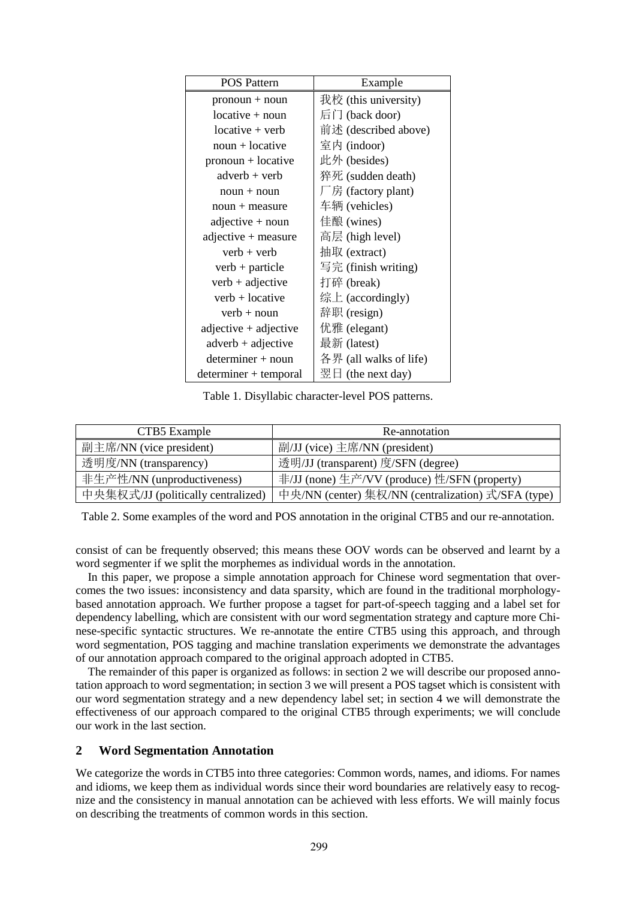| <b>POS Pattern</b>      | Example                |
|-------------------------|------------------------|
| $pronoun + noun$        | 我校 (this university)   |
| $locative + noun$       | 后门 (back door)         |
| $locative + verb$       | 前述 (described above)   |
| $noun + locative$       | 室内 (indoor)            |
| $pronoun + locative$    | 此外 (besides)           |
| $adverb + verb$         | 猝死 (sudden death)      |
| $noun + noun$           | 厂房 (factory plant)     |
| $noun + measure$        | 车辆 (vehicles)          |
| adjective + noun        | 佳酿 (wines)             |
| adjective + measure     | 高层 (high level)        |
| $verb + verb$           | 抽取 (extract)           |
| $verb + particle$       | 写完 (finish writing)    |
| $verb + adjective$      | 打碎 (break)             |
| $verb + locative$       | 综上 (accordingly)       |
| $verb + noun$           | 辞职 (resign)            |
| $adjective + adjective$ | 优雅 (elegant)           |
| $adverb + adjective$    | 最新 (latest)            |
| $determiner + noun$     | 各界 (all walks of life) |
| determiner + temporal   | 翌日 (the next day)      |

Table 1. Disyllabic character-level POS patterns.

| CTB5 Example                       | Re-annotation                                      |
|------------------------------------|----------------------------------------------------|
| 副主席/NN (vice president)            | 副/JJ (vice) 主席/NN (president)                      |
| 透明度/NN (transparency)              | 透明/JJ (transparent) 度/SFN (degree)                 |
| 非生产性/NN (unproductiveness)         | 非/JJ (none) 生产/VV (produce) 性/SFN (property)       |
| 中央集权式/JJ (politically centralized) | 中央/NN (center) 集权/NN (centralization) 式/SFA (type) |

Table 2. Some examples of the word and POS annotation in the original CTB5 and our re-annotation.

consist of can be frequently observed; this means these OOV words can be observed and learnt by a word segmenter if we split the morphemes as individual words in the annotation.

In this paper, we propose a simple annotation approach for Chinese word segmentation that overcomes the two issues: inconsistency and data sparsity, which are found in the traditional morphologybased annotation approach. We further propose a tagset for part-of-speech tagging and a label set for dependency labelling, which are consistent with our word segmentation strategy and capture more Chinese-specific syntactic structures. We re-annotate the entire CTB5 using this approach, and through word segmentation, POS tagging and machine translation experiments we demonstrate the advantages of our annotation approach compared to the original approach adopted in CTB5.

The remainder of this paper is organized as follows: in section 2 we will describe our proposed annotation approach to word segmentation; in section 3 we will present a POS tagset which is consistent with our word segmentation strategy and a new dependency label set; in section 4 we will demonstrate the effectiveness of our approach compared to the original CTB5 through experiments; we will conclude our work in the last section.

#### **2 Word Segmentation Annotation**

We categorize the words in CTB5 into three categories: Common words, names, and idioms. For names and idioms, we keep them as individual words since their word boundaries are relatively easy to recognize and the consistency in manual annotation can be achieved with less efforts. We will mainly focus on describing the treatments of common words in this section.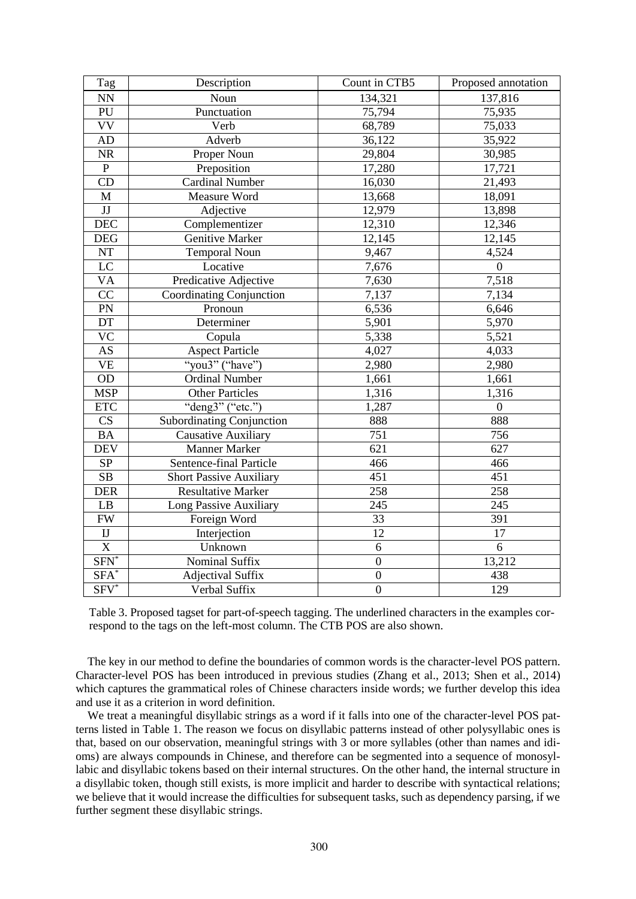| Tag                       | Description                      | Count in CTB5    | Proposed annotation |
|---------------------------|----------------------------------|------------------|---------------------|
| $\mathbf{N} \mathbf{N}$   | Noun                             | 134,321          | 137,816             |
| PU                        | Punctuation                      | 75,794           | 75,935              |
| <b>VV</b>                 | Verb                             | 68,789           | 75,033              |
| AD                        | Adverb                           | 36,122           | 35,922              |
| $\rm NR$                  | Proper Noun                      | 29,804           | 30,985              |
| $\mathbf{P}$              | Preposition                      | 17,280           | 17,721              |
| CD                        | <b>Cardinal Number</b>           | 16,030           | 21,493              |
| $\mathbf M$               | Measure Word                     | 13,668           | 18,091              |
| $\mathbf{J}\mathbf{J}$    | Adjective                        | 12,979           | 13,898              |
| DEC                       | Complementizer                   | 12,310           | 12,346              |
| DEG                       | Genitive Marker                  | 12,145           | 12,145              |
| $\rm{NT}$                 | <b>Temporal Noun</b>             | 9,467            | 4,524               |
| LC                        | Locative                         | 7,676            | $\overline{0}$      |
| <b>VA</b>                 | Predicative Adjective            | 7,630            | 7,518               |
| CC                        | Coordinating Conjunction         | 7,137            | 7,134               |
| PN                        | Pronoun                          | 6,536            | 6,646               |
| DT                        | Determiner                       | 5,901            | 5,970               |
| <b>VC</b>                 | Copula                           | 5,338            | 5,521               |
| $\mathbf{A}\mathbf{S}$    | <b>Aspect Particle</b>           | 4,027            | 4,033               |
| <b>VE</b>                 | "you3" ("have")                  | 2,980            | 2,980               |
| OD                        | <b>Ordinal Number</b>            | 1,661            | 1,661               |
| <b>MSP</b>                | Other Particles                  | 1,316            | 1,316               |
| $\ensuremath{\text{ETC}}$ | "deng3" ("etc.")                 | 1,287            | $\boldsymbol{0}$    |
| CS                        | <b>Subordinating Conjunction</b> | 888              | 888                 |
| <b>BA</b>                 | <b>Causative Auxiliary</b>       | 751              | 756                 |
| <b>DEV</b>                | Manner Marker                    | 621              | 627                 |
| ${\rm SP}$                | Sentence-final Particle          | 466              | 466                 |
| $\overline{\text{SB}}$    | <b>Short Passive Auxiliary</b>   | 451              | 451                 |
| <b>DER</b>                | <b>Resultative Marker</b>        | 258              | 258                 |
| LB                        | Long Passive Auxiliary           | 245              | 245                 |
| ${\rm FW}$                | Foreign Word                     | 33               | 391                 |
| $\rm IJ$                  | Interjection                     | 12               | 17                  |
| $\overline{X}$            | Unknown                          | 6                | $\overline{6}$      |
| $SFN^*$                   | Nominal Suffix                   | $\boldsymbol{0}$ | 13,212              |
| $SFA^*$                   | <b>Adjectival Suffix</b>         | $\boldsymbol{0}$ | 438                 |
| $SFV^*$                   | Verbal Suffix                    | $\boldsymbol{0}$ | 129                 |

Table 3. Proposed tagset for part-of-speech tagging. The underlined characters in the examples correspond to the tags on the left-most column. The CTB POS are also shown.

The key in our method to define the boundaries of common words is the character-level POS pattern. Character-level POS has been introduced in previous studies (Zhang et al., 2013; Shen et al., 2014) which captures the grammatical roles of Chinese characters inside words; we further develop this idea and use it as a criterion in word definition.

We treat a meaningful disyllabic strings as a word if it falls into one of the character-level POS patterns listed in Table 1. The reason we focus on disyllabic patterns instead of other polysyllabic ones is that, based on our observation, meaningful strings with 3 or more syllables (other than names and idioms) are always compounds in Chinese, and therefore can be segmented into a sequence of monosyllabic and disyllabic tokens based on their internal structures. On the other hand, the internal structure in a disyllabic token, though still exists, is more implicit and harder to describe with syntactical relations; we believe that it would increase the difficulties for subsequent tasks, such as dependency parsing, if we further segment these disyllabic strings.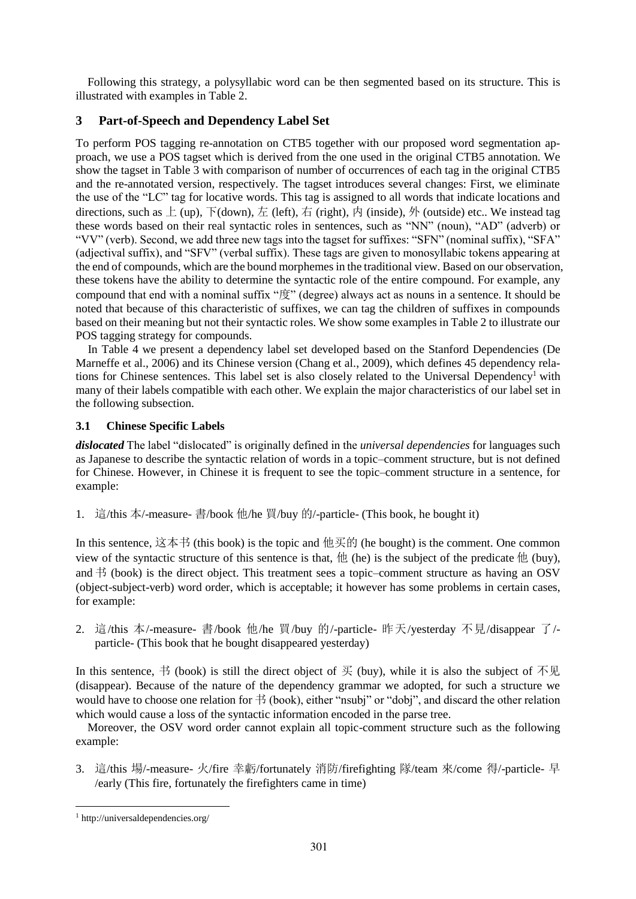Following this strategy, a polysyllabic word can be then segmented based on its structure. This is illustrated with examples in Table 2.

# **3 Part-of-Speech and Dependency Label Set**

To perform POS tagging re-annotation on CTB5 together with our proposed word segmentation approach, we use a POS tagset which is derived from the one used in the original CTB5 annotation. We show the tagset in Table 3 with comparison of number of occurrences of each tag in the original CTB5 and the re-annotated version, respectively. The tagset introduces several changes: First, we eliminate the use of the "LC" tag for locative words. This tag is assigned to all words that indicate locations and directions, such as  $\pm$  (up),  $\pm$  (down),  $\pm$  (left), 右 (right), 内 (inside), 外 (outside) etc.. We instead tag these words based on their real syntactic roles in sentences, such as "NN" (noun), "AD" (adverb) or "VV" (verb). Second, we add three new tags into the tagset for suffixes: "SFN" (nominal suffix), "SFA" (adjectival suffix), and "SFV" (verbal suffix). These tags are given to monosyllabic tokens appearing at the end of compounds, which are the bound morphemes in the traditional view. Based on our observation, these tokens have the ability to determine the syntactic role of the entire compound. For example, any compound that end with a nominal suffix "度" (degree) always act as nouns in a sentence. It should be noted that because of this characteristic of suffixes, we can tag the children of suffixes in compounds based on their meaning but not their syntactic roles. We show some examples in Table 2 to illustrate our POS tagging strategy for compounds.

In Table 4 we present a dependency label set developed based on the Stanford Dependencies (De Marneffe et al., 2006) and its Chinese version (Chang et al., 2009), which defines 45 dependency relations for Chinese sentences. This label set is also closely related to the Universal Dependency<sup>1</sup> with many of their labels compatible with each other. We explain the major characteristics of our label set in the following subsection.

# **3.1 Chinese Specific Labels**

*dislocated* The label "dislocated" is originally defined in the *universal dependencies* for languages such as Japanese to describe the syntactic relation of words in a topic–comment structure, but is not defined for Chinese. However, in Chinese it is frequent to see the topic–comment structure in a sentence, for example:

1. 這/this 本/-measure- 書/book 他/he 買/buy 的/-particle- (This book, he bought it)

In this sentence,  $\dot{\boxtimes}$   $\ddot{\text{A}}$  + (this book) is the topic and  $\text{d}\text{E}\ddot{\text{B}}$  (he bought) is the comment. One common view of the syntactic structure of this sentence is that,  $\#$  (he) is the subject of the predicate  $\#$  (buy), and  $\#$  (book) is the direct object. This treatment sees a topic–comment structure as having an OSV (object-subject-verb) word order, which is acceptable; it however has some problems in certain cases, for example:

2. 這/this 本/-measure- 書/book 他/he 買/buy 的/-particle- 昨天/yesterday 不見/disappear 了/ particle- (This book that he bought disappeared yesterday)

In this sentence,  $\#$  (book) is still the direct object of  $\#$  (buy), while it is also the subject of  $\#$ 见 (disappear). Because of the nature of the dependency grammar we adopted, for such a structure we would have to choose one relation for  $\ddagger$  (book), either "nsubj" or "dobj", and discard the other relation which would cause a loss of the syntactic information encoded in the parse tree.

Moreover, the OSV word order cannot explain all topic-comment structure such as the following example:

3. 這/this 場/-measure- 火/fire 幸虧/fortunately 消防/firefighting 隊/team 來/come 得/-particle- 早 /early (This fire, fortunately the firefighters came in time)

<sup>1</sup> http://universaldependencies.org/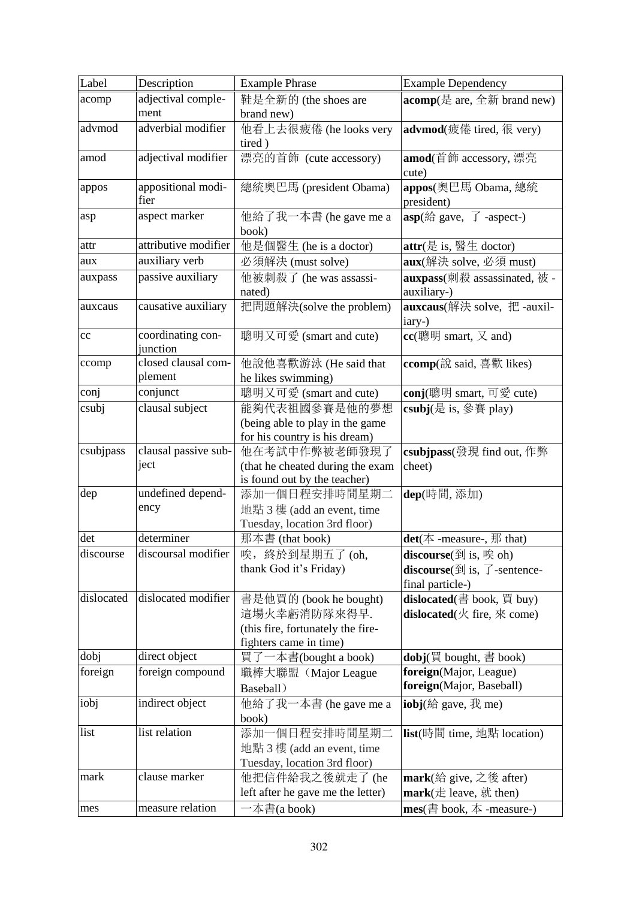| Label                          | Description          | <b>Example Phrase</b>                                      | <b>Example Dependency</b>                                                                     |
|--------------------------------|----------------------|------------------------------------------------------------|-----------------------------------------------------------------------------------------------|
| acomp                          | adjectival comple-   | 鞋是全新的 (the shoes are                                       | <b>acomp</b> (是 are, 全新 brand new)                                                            |
|                                | ment                 | brand new)                                                 |                                                                                               |
| advmod                         | adverbial modifier   | 他看上去很疲倦 (he looks very<br>tired)                           | advmod(疲倦 tired, 很 very)                                                                      |
| amod                           | adjectival modifier  | 漂亮的首飾 (cute accessory)                                     | amod(首飾 accessory, 漂亮                                                                         |
|                                |                      |                                                            | cute)                                                                                         |
| appos                          | appositional modi-   | 總統奧巴馬 (president Obama)                                    | appos(奧巴馬 Obama, 總統                                                                           |
|                                | fier                 |                                                            | president)                                                                                    |
| asp                            | aspect marker        | 他給了我一本書 (he gave me a                                      | <b>asp</b> (給 gave, $\overline{f}$ -aspect-)                                                  |
|                                |                      | book)                                                      |                                                                                               |
| attr                           | attributive modifier | 他是個醫生 (he is a doctor)                                     | attr(是 is, 醫生 doctor)                                                                         |
| aux                            | auxiliary verb       | 必須解決 (must solve)                                          | <b>aux</b> (解決 solve, 必須 must)                                                                |
| auxpass                        | passive auxiliary    | 他被刺殺了 (he was assassi-                                     | auxpass(刺殺 assassinated, 被 -                                                                  |
|                                |                      | nated)                                                     | auxiliary-)                                                                                   |
| auxcaus                        | causative auxiliary  | 把問題解決(solve the problem)                                   | auxcaus(解決 solve, 把 -auxil-<br>iary-)                                                         |
| cc                             | coordinating con-    | 聰明又可愛 (smart and cute)                                     | $cc$ (聰明 smart, 又 and)                                                                        |
|                                | junction             |                                                            |                                                                                               |
| ccomp                          | closed clausal com-  | 他說他喜歡游泳 (He said that                                      | ccomp(說 said, 喜歡 likes)                                                                       |
|                                | plement              | he likes swimming)                                         |                                                                                               |
| conj                           | conjunct             | 聰明又可愛 (smart and cute)                                     | conj(聰明 smart, 可愛 cute)                                                                       |
| csubj                          | clausal subject      | 能夠代表祖國參賽是他的夢想                                              | csubj(是 is, 參賽 play)                                                                          |
|                                |                      | (being able to play in the game                            |                                                                                               |
|                                |                      | for his country is his dream)                              |                                                                                               |
| $\overline{\text{c}}$ subjpass | clausal passive sub- | 他在考試中作弊被老師發現了                                              | csubjpass(發現 find out, 作弊                                                                     |
|                                | ject                 | (that he cheated during the exam                           | cheet)                                                                                        |
|                                | undefined depend-    | is found out by the teacher)                               |                                                                                               |
| dep                            | ency                 | 添加一個日程安排時間星期二                                              | dep(時間,添加)                                                                                    |
|                                |                      | 地點 3 樓 (add an event, time<br>Tuesday, location 3rd floor) |                                                                                               |
| det                            | determiner           | 那本書 (that book)                                            | det( $\bar{\triangle}$ -measure-, $\bar{\text{m}}$ that)                                      |
| discourse                      | discoursal modifier  | 唉, 終於到星期五了(oh,                                             | $\overline{\text{discourse}(\text{$\mathfrak{F}$}\text{]}}$ is, $\overline{\mathfrak{F}}$ oh) |
|                                |                      | thank God it's Friday)                                     | <b>discourse</b> ( $\widehat{\mathfrak{B}}$ ) is, $\widehat{J}$ -sentence-                    |
|                                |                      |                                                            | final particle-)                                                                              |
| dislocated                     | dislocated modifier  | 書是他買的 (book he bought)                                     | dislocated(書 book, 買 buy)                                                                     |
|                                |                      | 這場火幸虧消防隊來得早.                                               | dislocated( $\angle$ fire, $\Re$ come)                                                        |
|                                |                      | (this fire, fortunately the fire-                          |                                                                                               |
|                                |                      | fighters came in time)                                     |                                                                                               |
| dobj                           | direct object        | 買了一本書(bought a book)                                       | dobj(買 bought, 書 book)                                                                        |
| foreign                        | foreign compound     | 職棒大聯盟 (Major League                                        | foreign(Major, League)                                                                        |
|                                |                      | Baseball)                                                  | foreign(Major, Baseball)                                                                      |
| iobj                           | indirect object      | 他給了我一本書 (he gave me a                                      | iobj(給 gave, 我 me)                                                                            |
|                                |                      | book)                                                      |                                                                                               |
| list                           | list relation        | 添加一個日程安排時間星期二                                              | list(時間 time, 地點 location)                                                                    |
|                                |                      | 地點 3 樓 (add an event, time                                 |                                                                                               |
|                                |                      | Tuesday, location 3rd floor)                               |                                                                                               |
| mark                           | clause marker        | 他把信件給我之後就走了 (he                                            | mark(給 give, 之後 after)                                                                        |
|                                |                      | left after he gave me the letter)                          | mark( $\pm$ leave, $\hat{\pi}$ then)                                                          |
| mes                            | measure relation     | $-\bar{A}$ 書(a book)                                       | mes( $\stackrel{*}{\equiv}$ book, $\stackrel{+}{\sim}$ -measure-)                             |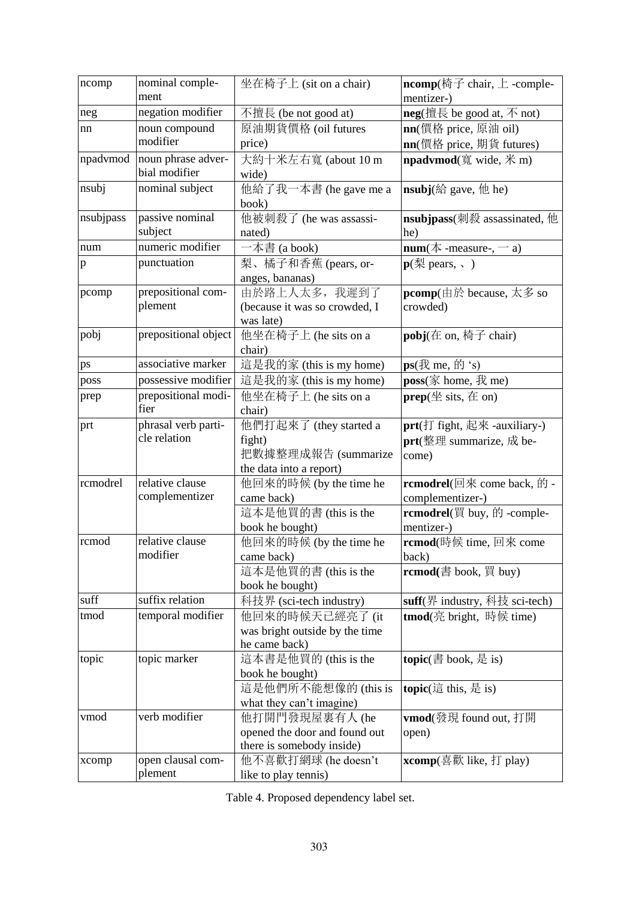| ncomp        | nominal comple-<br>ment     | 坐在椅子上 (sit on a chair)                | ncomp(椅子 chair, 上 -comple-<br>mentizer-)                   |
|--------------|-----------------------------|---------------------------------------|------------------------------------------------------------|
| neg          | negation modifier           | 不擅長 (be not good at)                  | <b>neg</b> (擅長 be good at, $\overline{\wedge}$ not)        |
| nn           | noun compound               | 原油期貨價格 (oil futures                   | nn(價格 price, 原油 oil)                                       |
|              | modifier                    | price)                                | <b>nn</b> (價格 price, 期貨 futures)                           |
| npadvmod     | noun phrase adver-          | 大約十米左右寬 (about 10 m                   | <b>npadvmod</b> (寬 wide, 米 m)                              |
|              | bial modifier               | wide)                                 |                                                            |
| nsubj        | nominal subject             | 他給了我一本書 (he gave me a                 | <b>nsubj</b> $(\text{A} \text{ gave}, \text{H} \text{he})$ |
|              |                             | book)                                 |                                                            |
| nsubjpass    | passive nominal             | 他被刺殺了 (he was assassi-                | nsubjpass(刺殺 assassinated, 他                               |
|              | subject                     | nated)                                | he)                                                        |
| num          | numeric modifier            | 一本書 (a book)                          | $num(\#$ -measure-, -a)                                    |
| $\mathbf{p}$ | punctuation                 | 梨、橘子和香蕉 (pears, or-                   | $\mathbf{p}(\mathbf{M})$ pears, $\sqrt{ }$ )               |
|              |                             | anges, bananas)                       |                                                            |
| pcomp        | prepositional com-          | 由於路上人太多, 我遲到了                         | pcomp(由於 because, 太多 so                                    |
|              | plement                     | (because it was so crowded, I         | crowded)                                                   |
|              |                             | was late)                             |                                                            |
| pobj         | prepositional object        | 他坐在椅子上 (he sits on a                  | pobj(在 on, 椅子 chair)                                       |
|              | associative marker          | chair)                                |                                                            |
| ps           | possessive modifier         | 這是我的家 (this is my home)               | $ps(\text{R})$ me, $\text{m/s}$                            |
| poss         |                             | 這是我的家 (this is my home)               | poss $(\bar{\mathbb{X}}$ home, $\bar{\mathbb{X}}$ me)      |
| prep         | prepositional modi-<br>fier | 他坐在椅子上 (he sits on a<br>chair)        | $prep(\nsubseteq$ sits, $\pm$ on)                          |
| prt          | phrasal verb parti-         | 他們打起來了 (they started a                | $prt$ (打 fight, 起來 -auxiliary-)                            |
|              | cle relation                | fight)                                | $prt$ (整理 summarize, 成 be-                                 |
|              |                             | 把數據整理成報告 (summarize                   | come)                                                      |
|              |                             | the data into a report)               |                                                            |
| rcmodrel     | relative clause             | 他回來的時候 (by the time he                | rcmodrel(回來 come back, 的 -                                 |
|              | complementizer              | came back)                            | complementizer-)                                           |
|              |                             | 這本是他買的書 (this is the                  | rcmodrel(買 buy, 的 -comple-                                 |
|              |                             | book he bought)                       | mentizer-)                                                 |
| rcmod        | relative clause             | 他回來的時候 (by the time he                | rcmod(時候 time, 回來 come                                     |
|              | modifier                    | came back)                            | back)                                                      |
|              |                             | 這本是他買的書 (this is the                  | rcmod(書 book, 買 buy)                                       |
|              |                             | book he bought)                       |                                                            |
| suff         | suffix relation             | 科技界 (sci-tech industry)               | suff(界 industry, 科技 sci-tech)                              |
| tmod         | temporal modifier           | 他回來的時候天已經亮了(it                        | tmod(亮 bright, 時候 time)                                    |
|              |                             | was bright outside by the time        |                                                            |
|              |                             | he came back)                         |                                                            |
| topic        | topic marker                | 這本書是他買的 (this is the                  | topic(書 book, 是 is)                                        |
|              |                             | book he bought)<br>這是他們所不能想像的(this is | topic(這 this, 是 is)                                        |
|              |                             | what they can't imagine)              |                                                            |
| vmod         | verb modifier               | 他打開門發現屋裏有人 (he                        | <b>vmod</b> (發現 found out, 打開                              |
|              |                             | opened the door and found out         | open)                                                      |
|              |                             | there is somebody inside)             |                                                            |
| xcomp        | open clausal com-           | 他不喜歡打網球 (he doesn't                   | xcomp(喜歡 like, 打 play)                                     |
|              | plement                     | like to play tennis)                  |                                                            |

Table 4. Proposed dependency label set.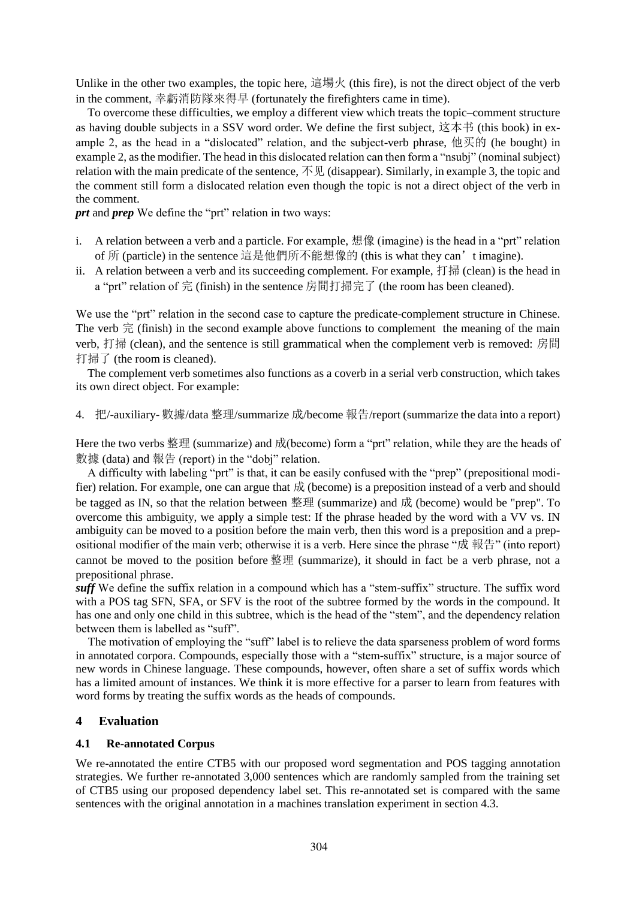Unlike in the other two examples, the topic here, 這場火 (this fire), is not the direct object of the verb in the comment, 幸虧消防隊來得早 (fortunately the firefighters came in time).

To overcome these difficulties, we employ a different view which treats the topic–comment structure as having double subjects in a SSV word order. We define the first subject, 这本书 (this book) in example 2, as the head in a "dislocated" relation, and the subject-verb phrase, 他买的 (he bought) in example 2, as the modifier. The head in this dislocated relation can then form a "nsubj" (nominal subject) relation with the main predicate of the sentence, 不见 (disappear). Similarly, in example 3, the topic and the comment still form a dislocated relation even though the topic is not a direct object of the verb in the comment.

*prt* and *prep* We define the "prt" relation in two ways:

- i. A relation between a verb and a particle. For example, 想像 (imagine) is the head in a "prt" relation of 所 (particle) in the sentence 這是他們所不能想像的 (this is what they can't imagine).
- ii. A relation between a verb and its succeeding complement. For example, 打掃 (clean) is the head in a "prt" relation of 完 (finish) in the sentence 房間打掃完了 (the room has been cleaned).

We use the "prt" relation in the second case to capture the predicate-complement structure in Chinese. The verb  $\hat{\pi}$  (finish) in the second example above functions to complement the meaning of the main verb, 打掃 (clean), and the sentence is still grammatical when the complement verb is removed: 房間 打掃了 (the room is cleaned).

The complement verb sometimes also functions as a coverb in a serial verb construction, which takes its own direct object. For example:

4. 把/-auxiliary- 數據/data 整理/summarize 成/become 報告/report (summarize the data into a report)

Here the two verbs 整理 (summarize) and 成(become) form a "prt" relation, while they are the heads of 數據 (data) and 報告 (report) in the "dobj" relation.

A difficulty with labeling "prt" is that, it can be easily confused with the "prep" (prepositional modifier) relation. For example, one can argue that  $\overrightarrow{R}$  (become) is a preposition instead of a verb and should be tagged as IN, so that the relation between 整理 (summarize) and 成 (become) would be "prep". To overcome this ambiguity, we apply a simple test: If the phrase headed by the word with a VV vs. IN ambiguity can be moved to a position before the main verb, then this word is a preposition and a prepositional modifier of the main verb; otherwise it is a verb. Here since the phrase "成 報告" (into report) cannot be moved to the position before 整理 (summarize), it should in fact be a verb phrase, not a prepositional phrase.

*suff* We define the suffix relation in a compound which has a "stem-suffix" structure. The suffix word with a POS tag SFN, SFA, or SFV is the root of the subtree formed by the words in the compound. It has one and only one child in this subtree, which is the head of the "stem", and the dependency relation between them is labelled as "suff".

The motivation of employing the "suff" label is to relieve the data sparseness problem of word forms in annotated corpora. Compounds, especially those with a "stem-suffix" structure, is a major source of new words in Chinese language. These compounds, however, often share a set of suffix words which has a limited amount of instances. We think it is more effective for a parser to learn from features with word forms by treating the suffix words as the heads of compounds.

#### **4 Evaluation**

#### **4.1 Re-annotated Corpus**

We re-annotated the entire CTB5 with our proposed word segmentation and POS tagging annotation strategies. We further re-annotated 3,000 sentences which are randomly sampled from the training set of CTB5 using our proposed dependency label set. This re-annotated set is compared with the same sentences with the original annotation in a machines translation experiment in section 4.3.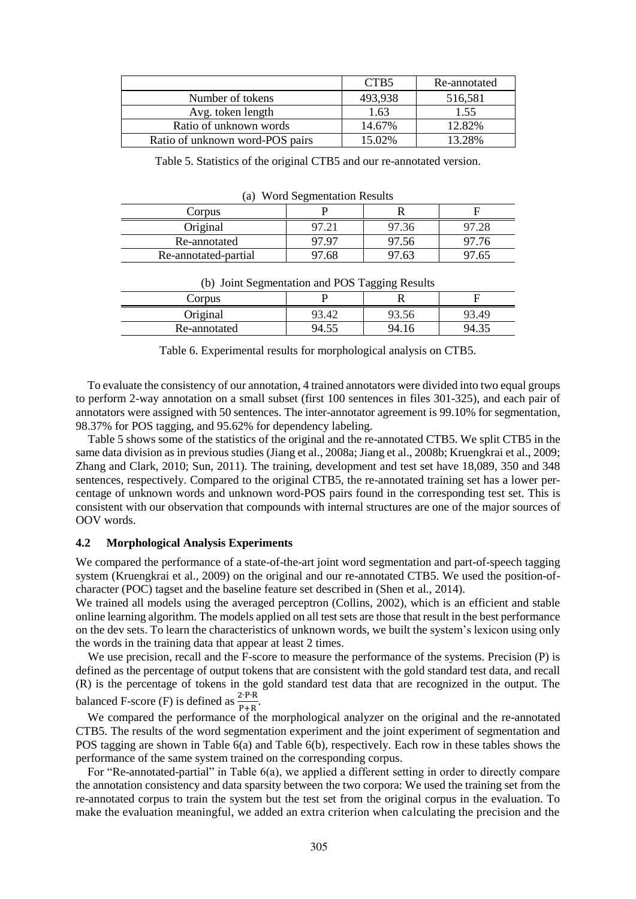|                                 | CTB <sub>5</sub> | Re-annotated |
|---------------------------------|------------------|--------------|
| Number of tokens                | 493,938          | 516,581      |
| Avg. token length               | 1.63             | 1.55         |
| Ratio of unknown words          | 14.67%           | 12.82%       |
| Ratio of unknown word-POS pairs | 15.02%           | 13.28%       |

Table 5. Statistics of the original CTB5 and our re-annotated version.

|                      | $\tilde{\phantom{a}}$ |       |       |
|----------------------|-----------------------|-------|-------|
| Corpus               |                       |       |       |
| Original             |                       | 97.36 |       |
| Re-annotated         | 97.97                 | 97.56 | 97.76 |
| Re-annotated-partial | 97.68                 | 97.63 | 97.65 |

| (a) Word Segmentation Results |
|-------------------------------|
|-------------------------------|

| $\sqrt{2}$ and $\sqrt{2}$ |       | ాంం<br>- 0 |       |
|---------------------------|-------|------------|-------|
| Corpus                    |       |            |       |
| Original                  | 73.42 | 13.30      | 93.49 |
| Re-annotated              | 94.5. | 94.16      | 94    |

(b) Joint Segmentation and POS Tagging Results

Table 6. Experimental results for morphological analysis on CTB5.

To evaluate the consistency of our annotation, 4 trained annotators were divided into two equal groups to perform 2-way annotation on a small subset (first 100 sentences in files 301-325), and each pair of annotators were assigned with 50 sentences. The inter-annotator agreement is 99.10% for segmentation, 98.37% for POS tagging, and 95.62% for dependency labeling.

Table 5 shows some of the statistics of the original and the re-annotated CTB5. We split CTB5 in the same data division as in previous studies (Jiang et al., 2008a; Jiang et al., 2008b; Kruengkrai et al., 2009; Zhang and Clark, 2010; Sun, 2011). The training, development and test set have 18,089, 350 and 348 sentences, respectively. Compared to the original CTB5, the re-annotated training set has a lower percentage of unknown words and unknown word-POS pairs found in the corresponding test set. This is consistent with our observation that compounds with internal structures are one of the major sources of OOV words.

#### **4.2 Morphological Analysis Experiments**

We compared the performance of a state-of-the-art joint word segmentation and part-of-speech tagging system (Kruengkrai et al., 2009) on the original and our re-annotated CTB5. We used the position-ofcharacter (POC) tagset and the baseline feature set described in (Shen et al., 2014).

We trained all models using the averaged perceptron (Collins, 2002), which is an efficient and stable online learning algorithm. The models applied on all test sets are those that result in the best performance on the dev sets. To learn the characteristics of unknown words, we built the system's lexicon using only the words in the training data that appear at least 2 times.

We use precision, recall and the F-score to measure the performance of the systems. Precision (P) is defined as the percentage of output tokens that are consistent with the gold standard test data, and recall (R) is the percentage of tokens in the gold standard test data that are recognized in the output. The balanced F-score (F) is defined as  $\frac{2 \cdot P \cdot R}{P+R}$ .

We compared the performance of the morphological analyzer on the original and the re-annotated CTB5. The results of the word segmentation experiment and the joint experiment of segmentation and POS tagging are shown in Table 6(a) and Table 6(b), respectively. Each row in these tables shows the performance of the same system trained on the corresponding corpus.

For "Re-annotated-partial" in Table 6(a), we applied a different setting in order to directly compare the annotation consistency and data sparsity between the two corpora: We used the training set from the re-annotated corpus to train the system but the test set from the original corpus in the evaluation. To make the evaluation meaningful, we added an extra criterion when calculating the precision and the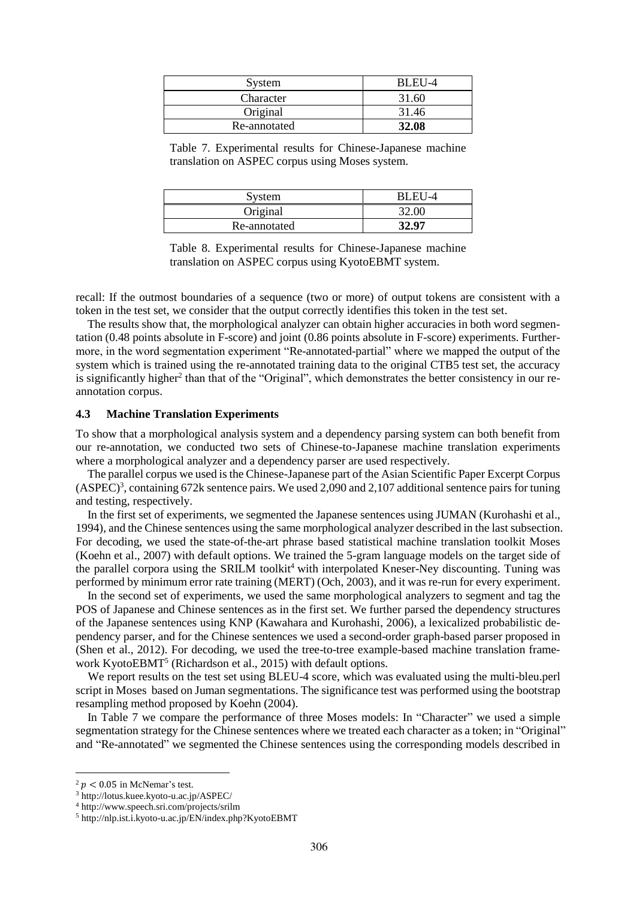| System       | RL FH-4 |
|--------------|---------|
| Character    | 31.60   |
| Original     | 31.46   |
| Re-annotated | 32.08   |

Table 7. Experimental results for Chinese-Japanese machine translation on ASPEC corpus using Moses system.

| <b>System</b> | BLEU-4 |
|---------------|--------|
| Original      |        |
| Re-annotated  | 32.97  |

Table 8. Experimental results for Chinese-Japanese machine translation on ASPEC corpus using KyotoEBMT system.

recall: If the outmost boundaries of a sequence (two or more) of output tokens are consistent with a token in the test set, we consider that the output correctly identifies this token in the test set.

The results show that, the morphological analyzer can obtain higher accuracies in both word segmentation (0.48 points absolute in F-score) and joint (0.86 points absolute in F-score) experiments. Furthermore, in the word segmentation experiment "Re-annotated-partial" where we mapped the output of the system which is trained using the re-annotated training data to the original CTB5 test set, the accuracy is significantly higher<sup>2</sup> than that of the "Original", which demonstrates the better consistency in our reannotation corpus.

#### **4.3 Machine Translation Experiments**

To show that a morphological analysis system and a dependency parsing system can both benefit from our re-annotation, we conducted two sets of Chinese-to-Japanese machine translation experiments where a morphological analyzer and a dependency parser are used respectively.

The parallel corpus we used is the Chinese-Japanese part of the Asian Scientific Paper Excerpt Corpus  $(ASPEC)^3$ , containing 672k sentence pairs. We used 2,090 and 2,107 additional sentence pairs for tuning and testing, respectively.

In the first set of experiments, we segmented the Japanese sentences using JUMAN (Kurohashi et al., 1994), and the Chinese sentences using the same morphological analyzer described in the last subsection. For decoding, we used the state-of-the-art phrase based statistical machine translation toolkit Moses (Koehn et al., 2007) with default options. We trained the 5-gram language models on the target side of the parallel corpora using the SRILM toolkit<sup>4</sup> with interpolated Kneser-Ney discounting. Tuning was performed by minimum error rate training (MERT) (Och, 2003), and it was re-run for every experiment.

In the second set of experiments, we used the same morphological analyzers to segment and tag the POS of Japanese and Chinese sentences as in the first set. We further parsed the dependency structures of the Japanese sentences using KNP (Kawahara and Kurohashi, 2006), a lexicalized probabilistic dependency parser, and for the Chinese sentences we used a second-order graph-based parser proposed in (Shen et al., 2012). For decoding, we used the tree-to-tree example-based machine translation framework KyotoEBMT<sup>5</sup> (Richardson et al., 2015) with default options.

We report results on the test set using BLEU-4 score, which was evaluated using the multi-bleu.perl script in Moses based on Juman segmentations. The significance test was performed using the bootstrap resampling method proposed by Koehn (2004).

In Table 7 we compare the performance of three Moses models: In "Character" we used a simple segmentation strategy for the Chinese sentences where we treated each character as a token; in "Original" and "Re-annotated" we segmented the Chinese sentences using the corresponding models described in

 $2 p < 0.05$  in McNemar's test.

<sup>3</sup> http://lotus.kuee.kyoto-u.ac.jp/ASPEC/

<sup>4</sup> http://www.speech.sri.com/projects/srilm

<sup>5</sup> http://nlp.ist.i.kyoto-u.ac.jp/EN/index.php?KyotoEBMT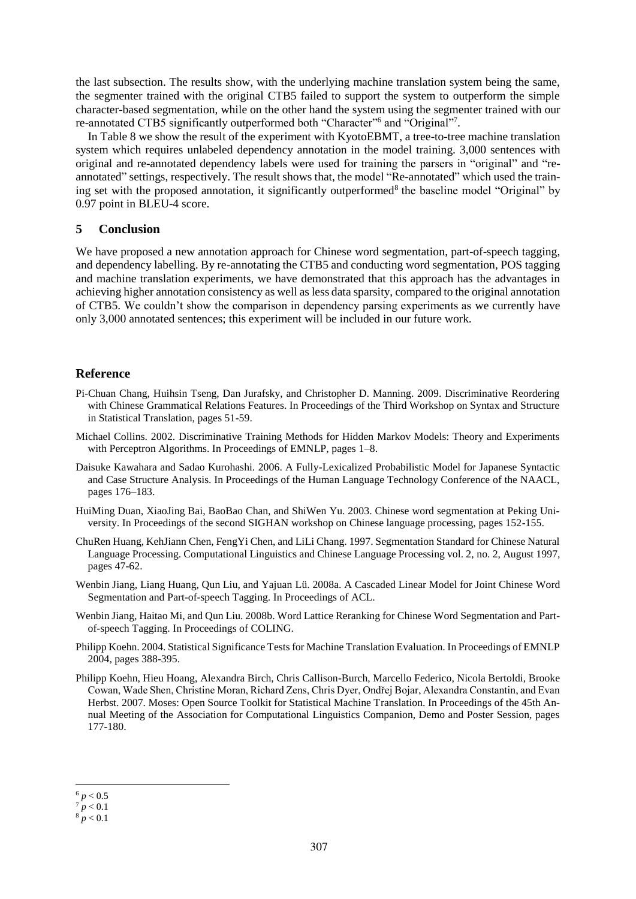the last subsection. The results show, with the underlying machine translation system being the same, the segmenter trained with the original CTB5 failed to support the system to outperform the simple character-based segmentation, while on the other hand the system using the segmenter trained with our re-annotated CTB5 significantly outperformed both "Character"<sup>6</sup> and "Original"<sup>7</sup>.

In Table 8 we show the result of the experiment with KyotoEBMT, a tree-to-tree machine translation system which requires unlabeled dependency annotation in the model training. 3,000 sentences with original and re-annotated dependency labels were used for training the parsers in "original" and "reannotated" settings, respectively. The result shows that, the model "Re-annotated" which used the training set with the proposed annotation, it significantly outperformed<sup>8</sup> the baseline model "Original" by 0.97 point in BLEU-4 score.

#### **5 Conclusion**

We have proposed a new annotation approach for Chinese word segmentation, part-of-speech tagging, and dependency labelling. By re-annotating the CTB5 and conducting word segmentation, POS tagging and machine translation experiments, we have demonstrated that this approach has the advantages in achieving higher annotation consistency as well as less data sparsity, compared to the original annotation of CTB5. We couldn't show the comparison in dependency parsing experiments as we currently have only 3,000 annotated sentences; this experiment will be included in our future work.

#### **Reference**

- Pi-Chuan Chang, Huihsin Tseng, Dan Jurafsky, and Christopher D. Manning. 2009. Discriminative Reordering with Chinese Grammatical Relations Features. In Proceedings of the Third Workshop on Syntax and Structure in Statistical Translation, pages 51-59.
- Michael Collins. 2002. Discriminative Training Methods for Hidden Markov Models: Theory and Experiments with Perceptron Algorithms. In Proceedings of EMNLP, pages 1–8.
- Daisuke Kawahara and Sadao Kurohashi. 2006. A Fully-Lexicalized Probabilistic Model for Japanese Syntactic and Case Structure Analysis. In Proceedings of the Human Language Technology Conference of the NAACL, pages 176–183.
- HuiMing Duan, XiaoJing Bai, BaoBao Chan, and ShiWen Yu. 2003. Chinese word segmentation at Peking University. In Proceedings of the second SIGHAN workshop on Chinese language processing, pages 152-155.
- ChuRen Huang, KehJiann Chen, FengYi Chen, and LiLi Chang. 1997. Segmentation Standard for Chinese Natural Language Processing. Computational Linguistics and Chinese Language Processing vol. 2, no. 2, August 1997, pages 47-62.
- Wenbin Jiang, Liang Huang, Qun Liu, and Yajuan Lü. 2008a. A Cascaded Linear Model for Joint Chinese Word Segmentation and Part-of-speech Tagging. In Proceedings of ACL.
- Wenbin Jiang, Haitao Mi, and Qun Liu. 2008b. Word Lattice Reranking for Chinese Word Segmentation and Partof-speech Tagging. In Proceedings of COLING.
- Philipp Koehn. 2004. Statistical Significance Tests for Machine Translation Evaluation. In Proceedings of EMNLP 2004, pages 388-395.
- Philipp Koehn, Hieu Hoang, Alexandra Birch, Chris Callison-Burch, Marcello Federico, Nicola Bertoldi, Brooke Cowan, Wade Shen, Christine Moran, Richard Zens, Chris Dyer, Ondřej Bojar, Alexandra Constantin, and Evan Herbst. 2007. Moses: Open Source Toolkit for Statistical Machine Translation. In Proceedings of the 45th Annual Meeting of the Association for Computational Linguistics Companion, Demo and Poster Session, pages 177-180.

  $^6$   $p < 0.5$ 

 $p < 0.1$ 

 $8 p < 0.1$